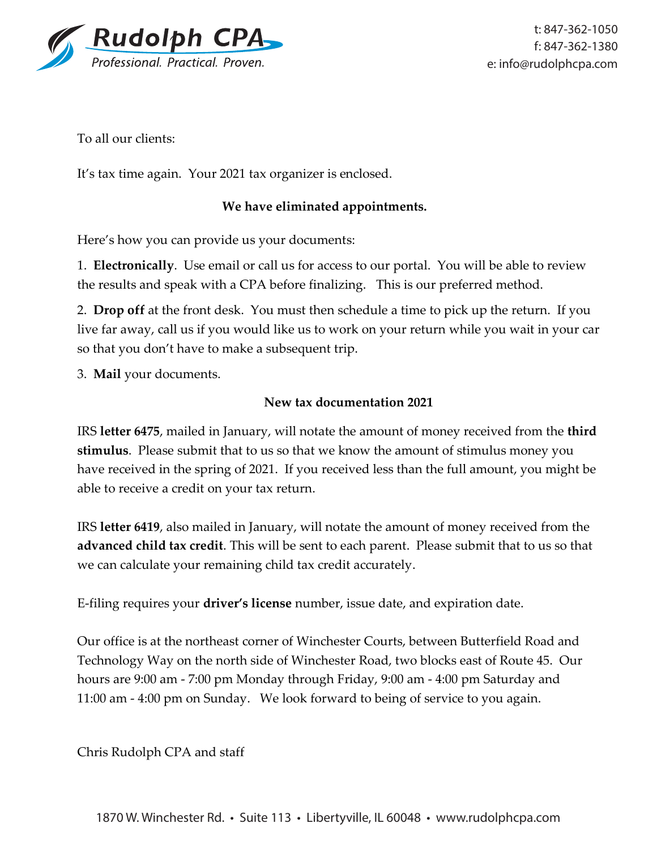

To all our clients:

It's tax time again. Your 2021 tax organizer is enclosed.

### **We have eliminated appointments.**

Here's how you can provide us your documents:

1. **Electronically**. Use email or call us for access to our portal. You will be able to review the results and speak with a CPA before finalizing. This is our preferred method.

2. **Drop off** at the front desk. You must then schedule a time to pick up the return. If you live far away, call us if you would like us to work on your return while you wait in your car so that you don't have to make a subsequent trip.

3. **Mail** your documents.

#### **New tax documentation 2021**

IRS **letter 6475**, mailed in January, will notate the amount of money received from the **third stimulus**. Please submit that to us so that we know the amount of stimulus money you have received in the spring of 2021. If you received less than the full amount, you might be able to receive a credit on your tax return.

IRS **letter 6419**, also mailed in January, will notate the amount of money received from the **advanced child tax credit**. This will be sent to each parent. Please submit that to us so that we can calculate your remaining child tax credit accurately.

E-filing requires your **driver's license** number, issue date, and expiration date.

Our office is at the northeast corner of Winchester Courts, between Butterfield Road and Technology Way on the north side of Winchester Road, two blocks east of Route 45. Our hours are 9:00 am - 7:00 pm Monday through Friday, 9:00 am - 4:00 pm Saturday and 11:00 am - 4:00 pm on Sunday. We look forward to being of service to you again.

Chris Rudolph CPA and staff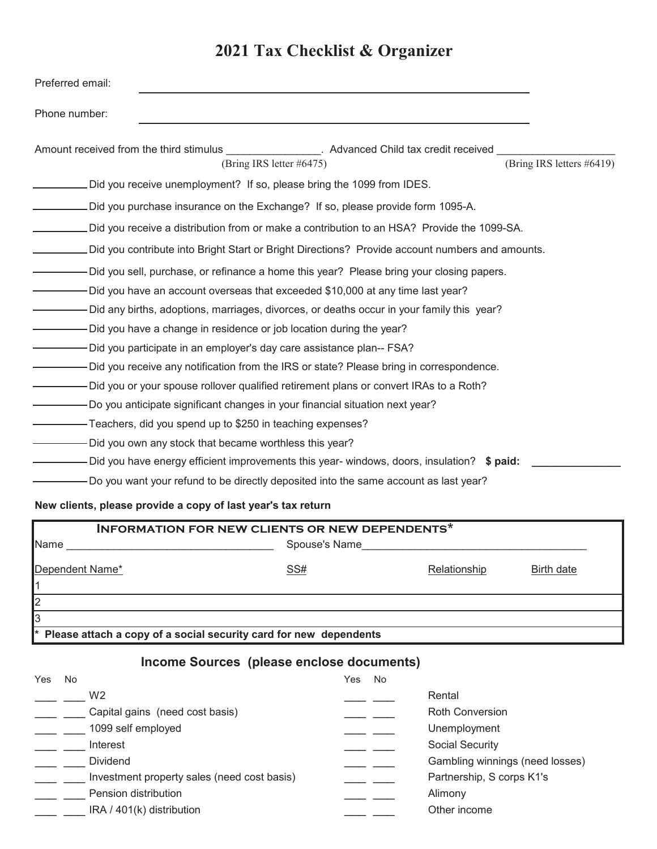# **2021 Tax Checklist & Organizer**

| Preferred email:                                                                                |                           |
|-------------------------------------------------------------------------------------------------|---------------------------|
| Phone number:                                                                                   |                           |
| Amount received from the third stimulus<br>. Advanced Child tax credit received                 |                           |
| (Bring IRS letter #6475)                                                                        | (Bring IRS letters #6419) |
| Did you receive unemployment? If so, please bring the 1099 from IDES.                           |                           |
| Did you purchase insurance on the Exchange? If so, please provide form 1095-A.                  |                           |
| Did you receive a distribution from or make a contribution to an HSA? Provide the 1099-SA.      |                           |
| Did you contribute into Bright Start or Bright Directions? Provide account numbers and amounts. |                           |
| -Did you sell, purchase, or refinance a home this year? Please bring your closing papers.       |                           |
| Did you have an account overseas that exceeded \$10,000 at any time last year?                  |                           |
| Did any births, adoptions, marriages, divorces, or deaths occur in your family this year?       |                           |
| -Did you have a change in residence or job location during the year?                            |                           |
| -Did you participate in an employer's day care assistance plan-- FSA?                           |                           |
| Did you receive any notification from the IRS or state? Please bring in correspondence.         |                           |
| -Did you or your spouse rollover qualified retirement plans or convert IRAs to a Roth?          |                           |
| -Do you anticipate significant changes in your financial situation next year?                   |                           |
| -Teachers, did you spend up to \$250 in teaching expenses?                                      |                           |
| Did you own any stock that became worthless this year?                                          |                           |
| Did you have energy efficient improvements this year- windows, doors, insulation? $$$ paid:     |                           |
| Do you want your refund to be directly deposited into the same account as last year?            |                           |

#### **New clients, please provide a copy of last year's tax return**

| <b>INFORMATION FOR NEW CLIENTS OR NEW DEPENDENTS*</b>               |               |              |            |
|---------------------------------------------------------------------|---------------|--------------|------------|
| Name                                                                | Spouse's Name |              |            |
| Dependent Name*                                                     | SS#           | Relationship | Birth date |
| I2                                                                  |               |              |            |
| l3                                                                  |               |              |            |
| * Please attach a copy of a social security card for new dependents |               |              |            |

# **Income Sources (please enclose documents)**

| Yes | No                                          | No<br>Yes                       |
|-----|---------------------------------------------|---------------------------------|
|     | W <sub>2</sub>                              | Rental                          |
|     | Capital gains (need cost basis)             | <b>Roth Conversion</b>          |
|     | 1099 self employed                          | Unemployment                    |
|     | Interest                                    | Social Security                 |
|     | <b>Dividend</b>                             | Gambling winnings (need losses) |
|     | Investment property sales (need cost basis) | Partnership, S corps K1's       |
|     | Pension distribution                        | Alimony                         |
|     | IRA / 401(k) distribution                   | Other income                    |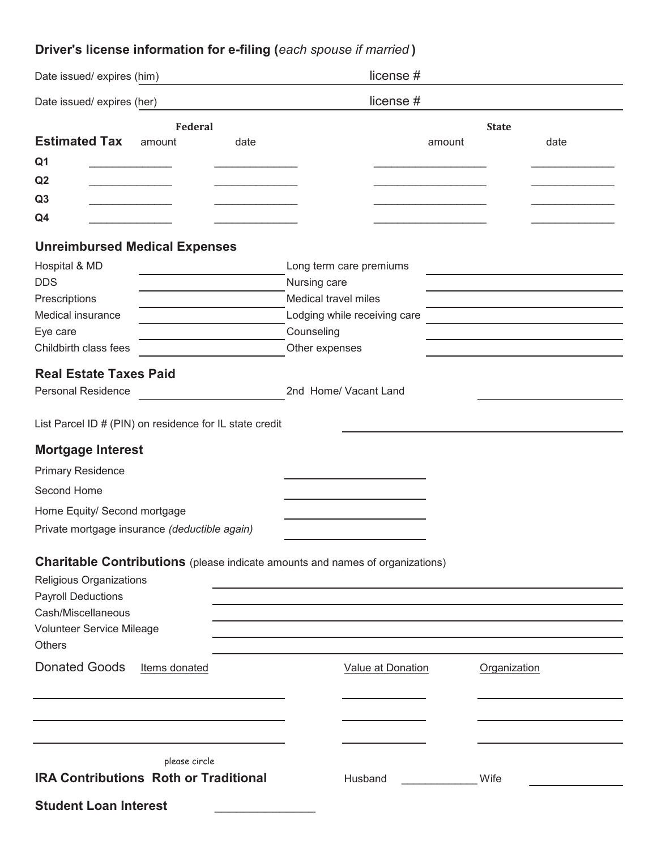# **Driver's license information for e-filing (***each spouse if married* **)**

| Date issued/expires (him)                                                                                                             | license#                     |              |                                                                                           |  |
|---------------------------------------------------------------------------------------------------------------------------------------|------------------------------|--------------|-------------------------------------------------------------------------------------------|--|
| Date issued/expires (her)                                                                                                             | license#                     |              |                                                                                           |  |
| Federal                                                                                                                               |                              | <b>State</b> |                                                                                           |  |
| <b>Estimated Tax</b><br>amount<br>date                                                                                                |                              | amount       | date                                                                                      |  |
| Q <sub>1</sub>                                                                                                                        |                              |              |                                                                                           |  |
| Q2<br><u> 1989 - Johann Barnett, fransk politiker</u>                                                                                 |                              |              |                                                                                           |  |
| Q <sub>3</sub>                                                                                                                        |                              |              |                                                                                           |  |
| Q4                                                                                                                                    |                              |              |                                                                                           |  |
| <b>Unreimbursed Medical Expenses</b>                                                                                                  |                              |              |                                                                                           |  |
| Hospital & MD                                                                                                                         | Long term care premiums      |              |                                                                                           |  |
| <b>DDS</b><br>the control of the control of the                                                                                       | Nursing care                 |              |                                                                                           |  |
| Prescriptions<br>and the control of the control of the                                                                                | Medical travel miles         |              |                                                                                           |  |
| Medical insurance                                                                                                                     | Lodging while receiving care |              | the control of the control of the control of the control of the control of the control of |  |
| Eye care                                                                                                                              | Counseling                   |              |                                                                                           |  |
| Childbirth class fees                                                                                                                 | Other expenses               |              |                                                                                           |  |
| <b>Real Estate Taxes Paid</b>                                                                                                         |                              |              |                                                                                           |  |
| <b>Personal Residence</b>                                                                                                             | 2nd Home/ Vacant Land        |              |                                                                                           |  |
| List Parcel ID # (PIN) on residence for IL state credit                                                                               |                              |              |                                                                                           |  |
| <b>Mortgage Interest</b>                                                                                                              |                              |              |                                                                                           |  |
| <b>Primary Residence</b>                                                                                                              |                              |              |                                                                                           |  |
| Second Home                                                                                                                           |                              |              |                                                                                           |  |
| Home Equity/ Second mortgage                                                                                                          |                              |              |                                                                                           |  |
| Private mortgage insurance (deductible again)                                                                                         |                              |              |                                                                                           |  |
| Charitable Contributions (please indicate amounts and names of organizations)<br>Religious Organizations<br><b>Payroll Deductions</b> |                              |              |                                                                                           |  |
| Cash/Miscellaneous                                                                                                                    |                              |              |                                                                                           |  |
| Volunteer Service Mileage<br><b>Others</b>                                                                                            |                              |              |                                                                                           |  |
| <b>Donated Goods</b><br>Items donated                                                                                                 | <b>Value at Donation</b>     | Organization |                                                                                           |  |
|                                                                                                                                       |                              |              |                                                                                           |  |
|                                                                                                                                       |                              |              |                                                                                           |  |
| please circle                                                                                                                         |                              |              |                                                                                           |  |
| <b>IRA Contributions Roth or Traditional</b>                                                                                          | Husband                      | Wife         |                                                                                           |  |
| <b>Student Loan Interest</b>                                                                                                          |                              |              |                                                                                           |  |